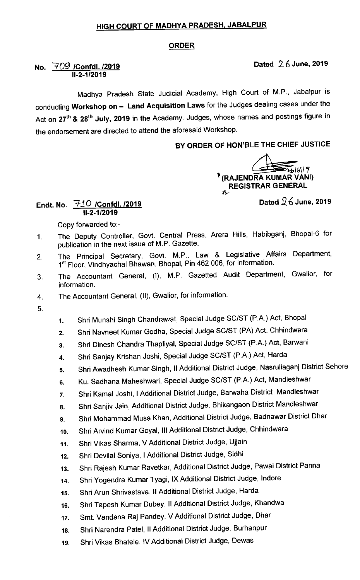# HIGH COURT OF MADHYA PRADESH. JABALPUR

### ORDER

## No.  $\frac{709}{1000}$  /Confdl. /2019  $\overline{11-2-1/2019}$

Madhya Pradesh State Judicial Academy, High Court of M.P., Jabalpur is conducting Workshop on - Land Acquisition Laws for the Judges dealing cases under the Act on 27<sup>th</sup> & 28<sup>th</sup> July, 2019 in the Academy. Judges, whose names and postings figure in the endorsement are directed to attend the aforesaid Workshop.

### BY ORDER 0F HON'BLE THE CHIEF JUSTICE

 $f(x) = \frac{1}{2}$ (RAJENDRA KUMAR VANI) REGISTRAR GENERAL tlr

Endt. No.  $710$  /Confdl. /2019  $\,$   $\,$  Dated  $26$  June, 2019  $\,$ 11-2-1/2019

Copy forwarded to:-

- The Deputy Controller, Govt. Central Press, Arera Hills, Habibganj, Bhopal-6 for  $1<sub>1</sub>$ publication in the next issue of M.P. Gazette.
- The Principal Secretary, Govt. M.P., Law & Legislative Affairs Department,  $2.$ 1st Floor, Vindhyachal Bhawan, Bhopal, Pin 462 006, for information.
- The Accountant General, (I), M.P. Gazetted Audit Department, Gwalior, for 3. information.
- The Accountant General, (11), Gwalior, for information.  $\overline{4}$ .
- 5.
- 1. Shri Munshi singh chandrawat, Special Judge sc/ST (P.A.) Act, Bhopal
- 2. Shri Navneet Kumar Godha, Special Judge sc/ST (PA) Act, Chhindwara
- 3. Shri Dinesh Chandra Thapliyal, Special Judge SC/ST (P.A.) Act, Barwani
- 4. Shri Sanjay Krishan Joshi, Special Judge SC/ST (P.A.) Act, Harda
- 5. Shri Awadhesh Kumar singh, ll Additional District Judge, Nasrullaganj District sehore
- 6. Ku. Sadhana Maheshwari, Special Judge sc/ST (P.A.) Act, Mandleshwar
- 7. Shri Kamal Joshi, I Additional District Judge, Barwaha District Mandleshwar
- 8. Shri Sanjiv Jain, Additional District Judge, Bhikangaon District Mandleshwar
- 9. Shri Mohammad Musa Khan, Additional District Judge, Badnawar District Dhar
- 10. Shri Arvind Kumar Goyal, III Additional District Judge, Chhindwara
- 11. Shri vikas sharma, VAdditional District Judge, Ujjain
- 12. Shri Devilal Soniya, I Additional District Judge, Sidhi
- 13. Shri Rajesh Kumar Ravetkar, Additional District Judge, Pawai District panna
- 14. Shri Yogendra Kumar Tyagi, lx Additional District Judge, lndore
- 15. Shri Arun Shrivastava, II Additional District Judge, Harda
- 16. Shri Tapesh Kumar Dubey, II Additional District Judge, Khandwa
- 17. Smt. Vandana Raj Pandey, V Additional District Judge, Dhar
- 18. Shri Narendra Patel, II Additional District Judge, Burhanpur
- 19. Shri vikas Bhatele, IV Additional District Judge, Dewas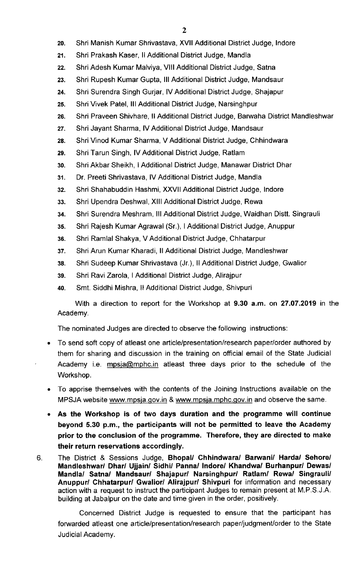- 2o. Shri Manish Kumar shrivastava, Xvll Additional District Judge, lndore
- 21. Shri Prakash Kaser, II Additional District Judge, Mandla
- 22. Shri Adesh Kumar Malviya, VIII Additional District Judge, Satna
- 23. Shri Rupesh Kumar Gupta, Ill Additional District Judge, Mandsaur
- 24. Shri Surendra Singh Gurjar, IV Additional District Judge, Shajapur
- 25. Shri Vivek Patel, III Additional District Judge, Narsinghpur
- 26. Shri Praveen Shivhare, II Additional District Judge, Barwaha District Mandleshwar
- 27. Shri Jayant Sharma, IV Additional District Judge, Mandsaur
- 28. Shri Vinod Kumar Sharma, V Additional District Judge, Chhindwara
- 29. Shri Tarun Singh, IV Additional District Judge, Ratlam
- 30. Shri Akbar Sheikh, I Additional District Judge, Manawar District Dhar
- 31. Dr. Preeti shrivastava, IV Additional District Judge, Mandla
- 32. Shri Shahabuddin Hashmi, XXVII Additional District Judge, Indore
- 33. Shri Upendra Deshwal, XIII Additional District Judge, Rewa
- 34. Shri Surendra Meshram, III Additional District Judge, Waidhan Distt. Singrauli
- 35. Shri Rajesh Kumar Agrawal (Sr.), I Additional District Judge, Anuppur
- 36. Shri Ramlal Shakya, V Additional District Judge, Chhatarpur
- 37. Shri Arun Kumar Kharadi, II Additional District Judge, Mandleshwar
- 38. Shri sudeep Kumar shrivastava (Jr.), II Additional District Judge, Gwalior
- 39, Shri Ravi zarola, I Additional District Judge, Alirajpur
- 4o. Smt. Siddhi Mishra, ll Additional District Judge, Shivpuri

With a direction to report for the Workshop at  $9.30$  a.m. on  $27.07.2019$  in the Academy.

The nominated Judges are directed to observe the following instructions:

- To send soft copy of atleast one article/presentation/research paper/order authored by them for sharing and discussion in the training on official email of the State Judicial Academy i.e. mpsja@mphc.in atleast three days prior to the schedule of the Workshop.
- To apprise themselves with the contents of the Joining Instructions available on the MPSJA website www.mpsja.gov.in & www.mpsja.mphc.gov.in and observe the same.
- As the Workshop is of two days duration and the programme will continue beyond 5.30 p.m., the participants will not be permitted to leave the Academy prior to the conclusion of the programme. Therefore, they are directed to make their return reservations accordingly.
- The District & Sessions Judge, Bhopal/ Chhindwara/ Barwani/ Harda/ Sehore/ 6. Mandleshwar/ Dhar/ Ujjain/ Sidhi/ Panna/ Indore/ Khandwa/ Burhanpur/ Dewas/ Mandla/ Satna/ Mandsaur/ Shajapur/ Narsinghpur/ Ratlam/ Rewa/ Singrauli/ Anuppur/ Chhatarpur/ Gwalior/ Alirajpur/ Shivpuri for information and necessary action with a request to instruct the participant Judges to remain present at M.P.S.J.A. building at Jabalpur on the date and time given in the order, positively.

Concerned District Judge is requested to ensure that the participant has forwarded atleast one article/presentation/research paper/judgment/order to the State Judicial Academy.